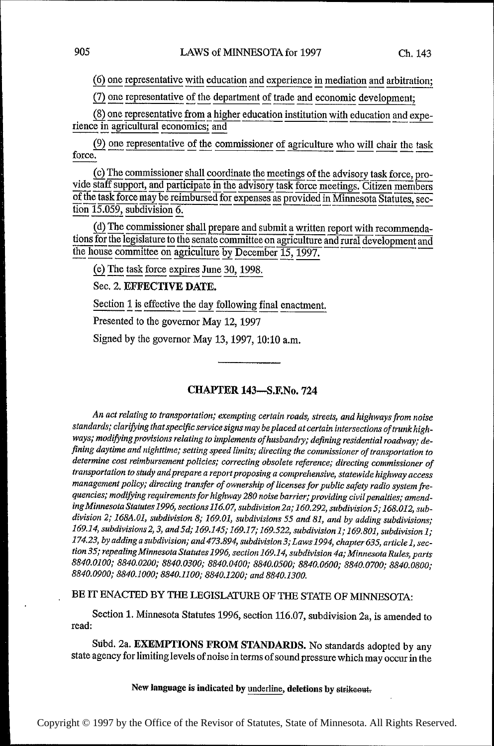(6) one representative with education and experience in mediation and arbitration;

(7) one representative of the department of trade and economic development;

(8) one representative from a higher education institution with education and experience in agricultural economics; and

(9) one representative of the commissioner of agriculture who will chair the task force.

(c) The commissioner shall coordinate the meetings of the advisory task force, provide staff support, and participate in the advisory task force meetings. Citizen members of the task force may be reimbursed for expenses as provided in Minnesota Statutes, section 15.059, subdivision 6.

(d) The commissioner shall prepare and submit a written report with recommendations for the legislature to the senate committee on agriculture and rural development and the house committee on agriculture by December 15, 1997.

(e) The task force expires June 30, 1998.

Sec. 2. EFFECTIVE DATE.

Section 1 is effective the day following final enactment.

Presented to the governor May 12, 1997

Signed by the governor May 13, 1997, 10:10 a.m.

### **CHAPTER 143-S.F.No. 724**

An act relating to transportation; exempting certain roads, streets, and highways from noise standards; clarifying that specific service signs may be placed at certain intersections of trunk highways; modifying provisions relating to implements of husbandry; defining residential roadway; defining daytime and nighttime; setting speed limits; directing the commissioner of transportation to determine cost reimbursement policies; correcting obsolete reference; directing commissioner of transportation to study and prepare a report proposing a comprehensive, statewide highway access management policy; directing transfer of ownership of licenses for public safety radio system frequencies; modifying requirements for highway 280 noise barrier; providing civil penalties; amending Minnesota Statutes 1996, sections 116.07, subdivision 2a; 160.292, subdivision 5; 168.012, subdivision 2; 168A.01, subdivision 8; 169.01, subdivisions 55 and 81, and by adding subdivisions; 169.14, subdivisions 2, 3, and 5d; 169.145; 169.17; 169.522, subdivision 1; 169.801, subdivision 1; 174.23, by adding a subdivision; and 473.894, subdivision 3; Laws 1994, chapter 635, article 1, section 35; repealing Minnesota Statutes 1996, section 169.14, subdivision 4a; Minnesota Rules, parts 8840.0100; 8840.0200; 8840.0300; 8840.0400; 8840.0500; 8840.0600; 8840.0700; 8840.0800; 8840.0900; 8840.1000; 8840.1100; 8840.1200; and 8840.1300.

BE IT ENACTED BY THE LEGISLATURE OF THE STATE OF MINNESOTA:

Section 1. Minnesota Statutes 1996, section 116.07, subdivision 2a, is amended to read:

Subd. 2a. EXEMPTIONS FROM STANDARDS. No standards adopted by any state agency for limiting levels of noise in terms of sound pressure which may occur in the

New language is indicated by underline, deletions by strikeout.

905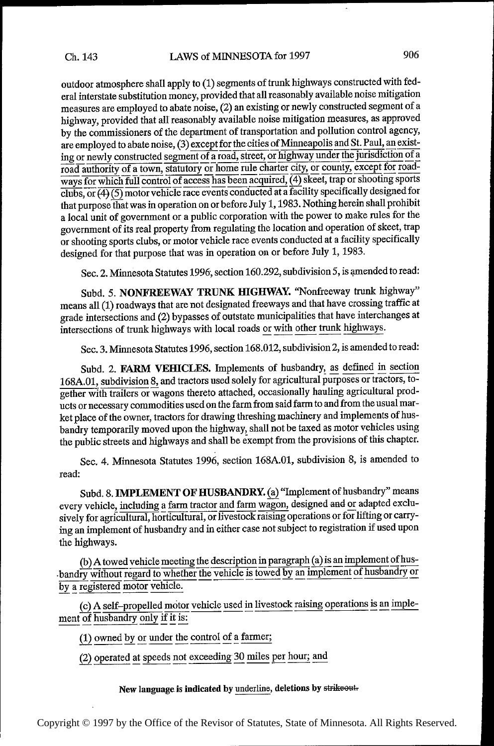outdoor atmosphere shall apply to (1) segments of trunk highways constructed with federal interstate substitution money, provided that all reasonably available noise mitigation measures are employed to abate noise, (2) an existing or newly constructed segment of <sup>a</sup> highway, provided that all reasonably available noise mitigation measures, as approved by the commissioners of the department of transportation and pollution control agency, are employed to abate noise, (3) except for the cities of Minneapolis and St. Paul, an existing or newly constructed segment of a road, street, or highway under the jurisdiction of <sup>a</sup> road authority of a town, statutory or home rule charter city, or county, except for roadways for which full control of access has been acquired, (4) skeet, trap or shooting sports  $\overline{\text{clubs}, \text{or} (4)(5)}$  motor vehicle race events conducted at a facility specifically designed for that purpose that was in operation on or before July 1, 1983. Nothing herein shall prohibit <sup>a</sup>local unit of government or a public corporation with the power to make rules for the government of its real property from regulating the location and operation of skeet, trap or shooting sports clubs, or motor vehicle race events conducted at a facility specifically designed for that purpose that was in operation on or before July 1, 1983.

Sec. 2. Minnesota Statutes 1996, section 160.292, subdivision 5, is amended to read:

Subd. 5. NONFREEWAY TRUNK HIGHWAY. "Nonfreeway trunk highway" means all (1) roadways that are not designated freeways and that have crossing traffic at grade intersections and (2) bypasses of outstate municipalities that have interchanges at intersections of trunk highways with local roads or with other trunk highways.

Sec. 3. Mirmesota Statutes 1996, section 168.012, subdivision 2, is amended to read:

Subd. 2. FARM VEHICLES. Implements of husbandry, as defined in section 168A.01, subdivision 8, and tractors used solely for agricultural purposes or tractors, together with trailers or wagons thereto attached, occasionally hauling agricultural products or necessary commodities used on the farm from said farm to and from the usual market place of the owner, tractors for drawing threshing machinery and implements of husbandry temporarily moved upon the highway, shall not be taxed as motor vehicles using the public streets and highways and shall be exempt from the provisions of this chapter.

Sec. 4. Minnesota Statutes 1996, section 168A.01, subdivision 8, is amended to read:

Subd. 8. IMPLEMENT OF HUSBANDRY. (a) "Implement of husbandry" means every vehicle, including a farm tractor and farm wagon, designed and or adapted exclusively for agricultural, horticultural, or livestock raising operations or for lifting or carrying an implement of husbandry and in either case not subject to registration if used upon the highways.

(b) A towed vehicle meeting the description in paragraph (a) is an implement of husbandry without regard to whether the vehicle is towed by an implement of husbandry or by a registered motor vehicle.

(c) A self-propelled motor vehicle used in livestock raising operations is an implement of husbandry only if it is:

 $(1)$  owned by or under the control of a farmer;

 $(2)$  operated at speeds not exceeding 30 miles per hour; and

New language is indicated by underline, deletions by strikeout.

Copyright © 1997 by the Office of the Revisor of Statutes, State of Minnesota. All Rights Reserved.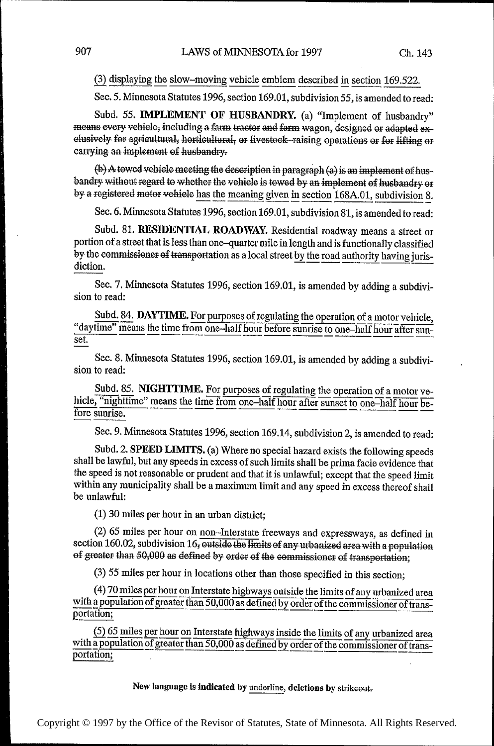(3) displaying the slow-moving vehicle emblem described in section 169.522.

Sec. 5. Minnesota Statutes 1996, section 169.01, subdivision 55, is amended to read:

Subd. 55. IMPLEMENT OF HUSBANDRY. (a) "Implement of husbandry" means every vehicle, including a farm tractor and farm wagon, designed or adapted exclusively for agricultural, horticultural, or livestock-raising operations or for lifting or earrying an implement of husbandry.

(b) A towed vehicle meeting the description in paragraph (a) is an implement of husbandry without regard to whether the vehicle is towed by an implement of husbandry or by a registered motor vehicle has the meaning given in section 168A.01, subdivision 8.

Sec. 6. Minnesota Statutes 1996, section 169.01, subdivision 81, is amended to read:

Subd. 81. RESIDENTIAL ROADWAY. Residential roadway means a street or portion of a street that is less than one-quarter mile in length and is functionally classified by the commissioner of transportation as a local street by the road authority having jurisdiction.

Sec. 7. Minnesota Statutes 1996, section 169.01, is amended by adding a subdivision to read:

Subd. 84. DAYTIME. For purposes of regulating the operation of a motor vehicle, "daytime" means the time from one-half hour before sunrise to one-half hour after sunset.

Sec. 8. Minnesota Statutes 1996, section 169.01, is amended by adding a subdivision to read:

Subd. 85. NIGHTTIME. For purposes of regulating the operation of a motor vehicle, "nighttime" means the time from one-half hour after sunset to one-half hour before sunrise.

Sec. 9. Minnesota Statutes 1996, section 169.14, subdivision 2, is amended to read:

Subd. 2. SPEED LIMITS. (a) Where no special hazard exists the following speeds shall be lawful, but any speeds in excess of such limits shall be prima facie evidence that the speed is not reasonable or prudent and that it is unlawful; except that the speed limit within any municipality shall be a maximum limit and any speed in excess thereof shall be unlawful:

(1) 30 miles per hour in an urban district;

(2) 65 miles per hour on non-Interstate freeways and expressways, as defined in section 160.02, subdivision 16, outside the limits of any urbanized area with a population of greater than 50,000 as defined by order of the commissioner of transportation;

(3) 55 miles per hour in locations other than those specified in this section;

(4) 70 miles per hour on Interstate highways outside the limits of any urbanized area with a population of greater than 50,000 as defined by order of the commissioner of transportation;

(5) 65 miles per hour on Interstate highways inside the limits of any urbanized area with a population of greater than 50,000 as defined by order of the commissioner of transportation;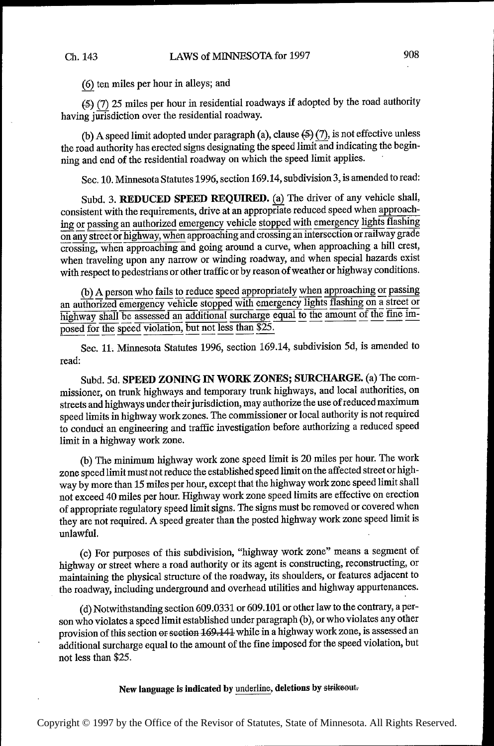(1) ten miles per hour in alleys; and

 $(5)$  (7) 25 miles per hour in residential roadways if adopted by the road authority having jurisdiction over the residential roadway.

(b) A speed limit adopted under paragraph (a), clause  $(5)(7)$ , is not effective unless the road authority has erected signs designating the speed limit and indicating the beginning and end of the residential roadway on which the speed limit applies.

Sec. 10. Minnesota Statutes 1996, section 169.14, subdivision 3, is amended to read:

Subd. 3. REDUCED SPEED REQUIRED. (a) The driver of any vehicle shall, consistent with the requirements, drive at an appropriate reduced speed when approaching or passing an authorized emergency vehicle stopped with emergency lights flashing on any street or highway, when approaching and crossing an intersection or railway grade crossing, when approaching and going around a curve, when approaching a hill crest, when traveling upon any narrow or winding roadway, and when special hazards exist with respect to pedestrians or other traffic or by reason of weather or highway conditions.

(b) A person who fails to reduce speed appropriately when approaching or passing an authorized emergency vehicle stopped with emergency lights flashing on a street or Highway shall be assessed an additional surcharge equal to the amount of the fine im-<br>posed for the speed violation, but not less than \$25. posed for the speed violation, but not less than \$25.

Sec. 11. Minnesota Statutes 1996, section 169.14, subdivision 5d, is amended to read:

Subd. 5d. SPEED ZONING IN WORK ZONES; SURCHARGE. (a) The commissioner, on trunk highways and temporary trunk highways, and local authorities, on streets and highways under their jurisdiction, may authorize the use of reduced maximum speed limits in highway work zones. The commissioner or local authority is not required to conduct an engineering and traffic investigation before authorizing a reduced speed limit in a highway work zone.

(b) The minimum highway work zone speed limit is 20 miles per hour. The work zone speed limit must not reduce the established speed limit on the affected street or highway by more than 15 miles per hour, except that the highway work zone speed limit shall not exceed 40 miles per hour. Highway work zone speed limits are effective on erection of appropriate regulatory speed limit signs. The signs must be removed or covered when they are not required. A speed greater than the posted highway work zone speed limit is unlawful.

(c) For purposes of this subdivision, "highway work zone" means a segment of highway or street where a road authority or its agent is constructing, reconstructing, or maintaining the physical structure of the roadway, its shoulders, or features adjacent to the roadway, including underground and overhead utilities and highway appurtenances.

(d) Notwithstanding section 609.0331 or 609.101 or other law to the contrary, a person who violates a speed limit established under paragraph (b), or who violates any other provision of this section or section 169-141 while in a highway work zone, is assessed an additional surcharge equal to the amount of the fine imposed for the speed violation, but not less than \$25.

New language is indicated by underline, deletions by strikeout-

Copyright © 1997 by the Office of the Revisor of Statutes, State of Minnesota. All Rights Reserved.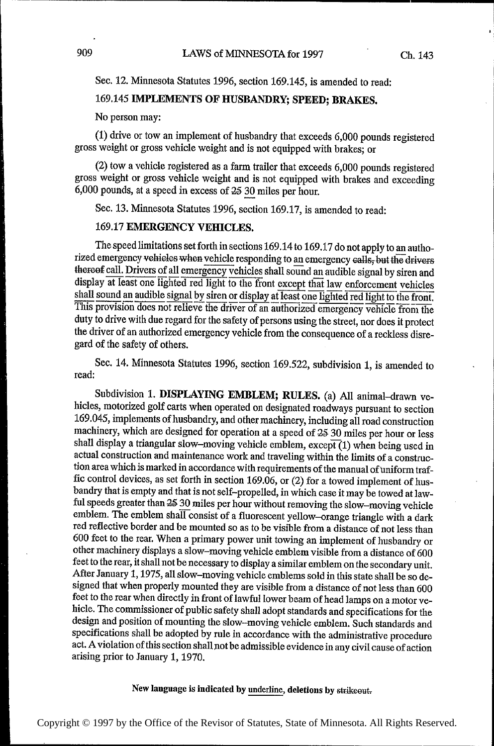Sec. 12. Minnesota Statutes 1996, section 169.145, is amended to read:

# 169.145 IMPLEMENTS OF HUSBANDRY; SPEED; BRAKES.

No person may:

(1) drive or tow an implement of husbandry that exceeds 6,000 pounds registered gross weight or gross vehicle weight and is not equipped with brakes; or

(2) tow a vehicle registered as a farm trailer that exceeds 6,000 pounds registered gross weight or gross vehicle weight and is not equipped with brakes and exceeding 6,000 pounds, at a speed in excess of  $25\,30$  miles per hour.

Sec. 13. Minnesota Statutes 1996, section 169.17, is amended to read:

### 169.17 EMERGENCY VEHICLES.

The speed limitations set forth in sections 169.14 to 169.17 do not apply to an authorized emergency vehieles when vehicle responding to an emergency calls, but the drivers thereof call. Drivers of all emergency vehicles shall sound an audible signal by siren and display at least one lighted red light to the front except that law enforcement vehicles shall sound an audible signal by siren or display at least one lighted red light to the front. This provision does not relieve the driver of an authorized emergency vehicle from the duty to drive with due regard for the safety of persons using the street, nor does it protect the driver of an authorized emergency vehicle from the consequence of a reckless disregard of the safety of others.

Sec. 14. Minnesota Statutes 1996, section 169.522, subdivision 1, is amended to read:

Subdivision 1. DISPLAYING EMBLEM; RULES. (a) All anima1—drawn vehicles, motorized golf carts when operated on designated roadways pursuant to section 169.045, implements of husbandry, and other machinery, including all road construction machinery, which are designed for operation at a speed of 25 30 miles per hour or less shall display a triangular slow-moving vehicle emblem,  ${\rm except}(1)$  when being used in actual construction and maintenance work and traveling within the limits of a construction area which is marked in accordance with requirements of the manual of uniform traffic control devices, as set forth in section 169.06, or (2) for a towed implement of husbandry that is empty and that is not self—-propelled, in which case it may be towed at lawful speeds greater than 25 30 miles per hour without removing the slow-moving vehicle emblem. The emblem shall consist of a fluorescent yellow-orange triangle with a dark red reflective border and be mounted so as to be visible from a distance of not less than 600 feet to the rear. When a primary power unit towing an implement of husbandry or other machinery displays a slow—moving vehicle emblem visible from a distance of 600 feet to the rear, it shall not be necessary to display a similar emblem on the secondary unit. After January 1, 1975, all slow-moving vehicle emblems sold in this state shall be so designed that when properly mounted they are visible from a distance of not less than <sup>600</sup> feet to the rear when directly in front of lawful lower beam of head lamps on a motor vehicle. The commissioner of public safety shall adopt standards and specifications for the design and position of mounting the slow—moving vehicle emblem. Such standards and specifications shall be adopted by rule in accordance with the administrative procedure act. A violation of this section shall not be admissible evidence in any civil cause of action arising prior to January 1, 1970.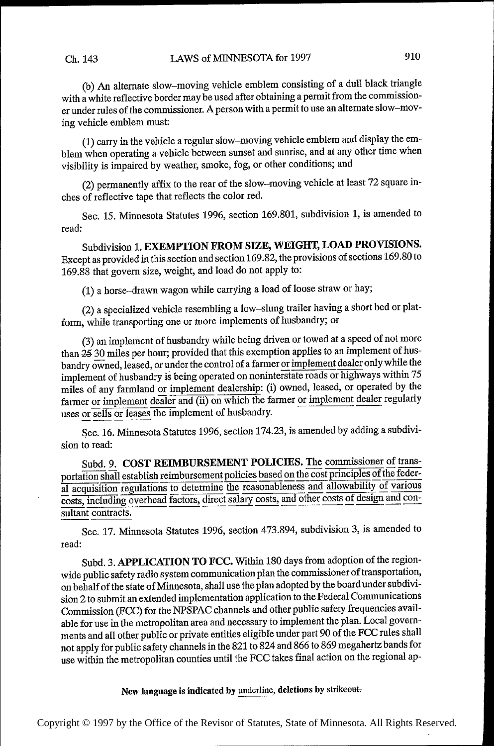~

~~

~~~

~~

~

~

 $^{\prime}$ 

~

~

←

⊩

⊩

⊩

 $\mathbf{r}$ 

(b) An alternate slow—moving vehicle emblem consisting of a dull black triangle with a white reflective border may be used after obtaining a permit from the commissioner under rules of the commissioner. A person with a permit to use an alternate slow—moving vehicle emblem must:

~~ (1) carry in the vehicle a regular slow—moving vehicle emblem and display the emblem when operating a vehicle between sunset and sunrise, and at any other time when visibility is impaired by weather, smoke, fog, or other conditions; and

(2) permanently affix to the rear of the slow—moving vehicle at least 72 square irrches of reflective tape that reflects the color red.

Sec. 15. Minnesota Statutes 1996, section 169.801, subdivision 1, is amended to read:

Subdivision 1. EXEMPTION FROM SIZE, WEIGHT, LOAD PROVISIONS. Except as provided in this section and section 169.82, the provisions of sections 169.80 to 169.88 that govern size, weight, and load do not apply to:

(1) a horse~—drawn wagon while carrying a load of loose straw or hay;

(2) a specialized vehicle resembling a low—slung trailer having a short bed or platform, while transporting one or more implements of husbandry; or

(3) an implement of husbandry while being driven or towed at a speed of not more than 25 30 miles per hour; provided that this exemption applies to an implement of husbandry owned, leased, or under the control of a farmer or implement dealer only while the implement of husbandry is being operated on noninterstate roads or highways within 75 miles of any farmland or implement dealership: (i) owned, leased, or operated by the farmer or implement dealer and (ii) on which the farmer or implement dealer regularly uses or sells or leases the implement of husbandry.

Sec. 16. Minnesota Statutes 1996, section 174.23, is amended by adding a subdivision to read:

Subd. 9. COST REIMBURSEMENT POLICIES. The commissioner of transportation shall establish reimbursement policies based on the cost principles of the federal acquisition regulations to determine the reasonableness and allowability of various costs, including overhead factors, direct salary costs, and other costs of design and consultant contracts.

Sec. 17. Minnesota Statutes 1996, section 473.894, subdivision 3, is amended to read:

Subd. 3. APPLICATION TO FCC. Within 180 days from adoption of the regionwide public safety radio system communication plan the commissioner of transportation, on behalf of the state of Minnesota, shall use the plan adopted by the board under subdivision 2 to submit an extended implementation application to the Federal Communications Commission (FCC) for the NPSPAC channels and other public safety frequencies available for use in the metropolitan area and necessary to implement the plan. Local governments and all other public or private entities eligible under part 90 of the FCC rules shall not apply for public safety channels in the 821 to 824 and 866 to 869 megahertz bands for use within the metropolitan counties until the FCC takes final action on the regional ap-

New language is indicated by underline, deletions by strikeout.

Copyright © 1997 by the Office of the Revisor of Statutes, State of Minnesota. All Rights Reserved.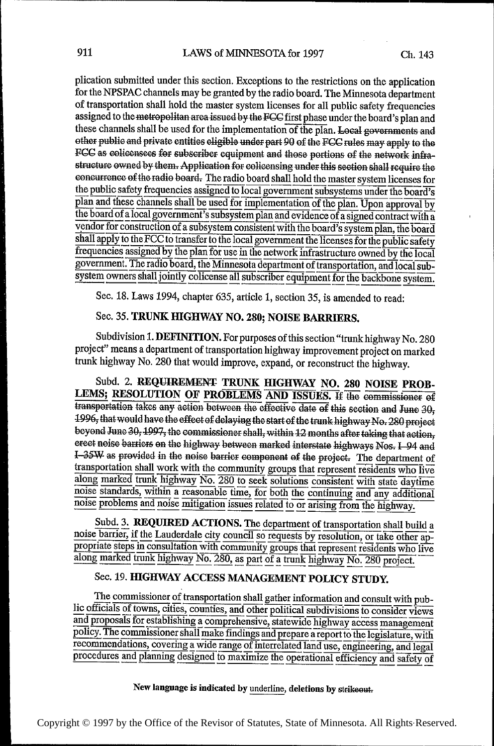plication submitted under this section. Exceptions to the restrictions on the application for the NPSPAC channels may be granted by the radio board. The Minnesota department of transportation shall hold the master system licenses for all public safety frequencies assigned to the metropolitan area issued by the FCC first phase under the board's plan and these channels shall be used for the implementation of the plan. Local governments and other public and private entities cligible under part 90 of the FCC rules may apply to the FCC as colicensees for subscriber equipment and those portions of the network infrastructure owned by them. Application for colicensing under this section shall require the concurrence of the radio board. The radio board shall hold the master system licenses for the public safety frequencies assigned to local government subsystems under the board's plan and these channels shall be used for implementation of the plan. Upon approval by the board of a local government's subsystem plan and evidence of a signed contract with a vendor for construction of a subsystem consistent with the board's system plan, the board shall apply to the FCC to transfer to the local government the licenses for the public safety frequencies assigned by the plan for use in the network infrastructure owned by the local government. The radio board, the Minnesota department of transportation, and local subsystem owners shall jointly colicense all subscriber equipment for the backbone system.

Sec. 18. Laws 1994, chapter 635, article 1, section 35, is amended to read:

### Sec. 35. TRUNK HIGHWAY NO. 280; NOISE BARRIERS.

Subdivision 1. DEFINITION. For purposes of this section "trunk highway No. 280 project" means a department of transportation highway improvement project on marked trunk highway No. 280 that would improve, expand, or reconstruct the highway.

Subd. 2. REQUIREMENT TRUNK HIGHWAY NO. 280 NOISE PROB-LEMS; RESOLUTION OF PROBLEMS AND ISSUES. If the commissioner of transportation takes any action between the effective date of this section and June 30, 1996, that would have the effect of delaying the start of the trunk highway No. 280 project beyond June 30, 1997, the commissioner shall, within 12 months after taking that action, erect noise barriers on the highway between marked interstate highways Nos. I 94 and I-35W as provided in the noise barrier component of the project. The department of transportation shall work with the community groups that represent residents who live along marked trunk highway No. 280 to seek solutions consistent with state daytime noise standards, within a reasonable time, for both the continuing and any additional noise problems and noise mitigation issues related to or arising from the highway.

Subd. 3. REQUIRED ACTIONS. The department of transportation shall build a noise barrier, if the Lauderdale city council so requests by resolution, or take other appropriate steps in consultation with community groups that represent residents who live along marked trunk highway No. 280, as part of a trunk highway No. 280 project.

# Sec. 19. HIGHWAY ACCESS MANAGEMENT POLICY STUDY.

The commissioner of transportation shall gather information and consult with public officials of towns, cities, counties, and other political subdivisions to consider views and proposals for establishing a comprehensive, statewide highway access management policy. The commissioner shall make findings and prepare a report to the legislature, with recommendations, covering a wide range of interrelated land use, engineering, and legal procedures and planning designed to maximize the operational efficiency and safety of